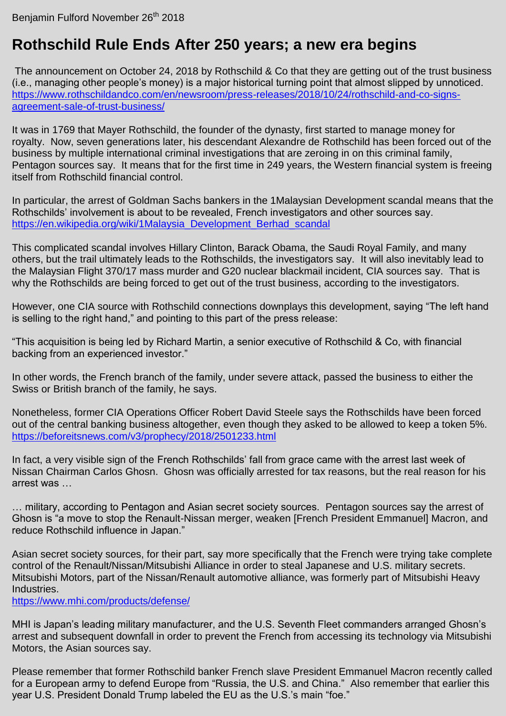## **Rothschild Rule Ends After 250 years; a new era begins**

The announcement on October 24, 2018 by Rothschild & Co that they are getting out of the trust business (i.e., managing other people"s money) is a major historical turning point that almost slipped by unnoticed. [https://www.rothschildandco.com/en/newsroom/press-releases/2018/10/24/rothschild-and-co-signs](https://www.rothschildandco.com/en/newsroom/press-releases/2018/10/24/rothschild-and-co-signs-agreement-sale-of-trust-business/)[agreement-sale-of-trust-business/](https://www.rothschildandco.com/en/newsroom/press-releases/2018/10/24/rothschild-and-co-signs-agreement-sale-of-trust-business/)

It was in 1769 that Mayer Rothschild, the founder of the dynasty, first started to manage money for royalty. Now, seven generations later, his descendant Alexandre de Rothschild has been forced out of the business by multiple international criminal investigations that are zeroing in on this criminal family, Pentagon sources say. It means that for the first time in 249 years, the Western financial system is freeing itself from Rothschild financial control.

In particular, the arrest of Goldman Sachs bankers in the 1Malaysian Development scandal means that the Rothschilds" involvement is about to be revealed, French investigators and other sources say. [https://en.wikipedia.org/wiki/1Malaysia\\_Development\\_Berhad\\_scandal](https://en.wikipedia.org/wiki/1Malaysia_Development_Berhad_scandal)

This complicated scandal involves Hillary Clinton, Barack Obama, the Saudi Royal Family, and many others, but the trail ultimately leads to the Rothschilds, the investigators say. It will also inevitably lead to the Malaysian Flight 370/17 mass murder and G20 nuclear blackmail incident, CIA sources say. That is why the Rothschilds are being forced to get out of the trust business, according to the investigators.

However, one CIA source with Rothschild connections downplays this development, saying "The left hand is selling to the right hand," and pointing to this part of the press release:

"This acquisition is being led by Richard Martin, a senior executive of Rothschild & Co, with financial backing from an experienced investor."

In other words, the French branch of the family, under severe attack, passed the business to either the Swiss or British branch of the family, he says.

Nonetheless, former CIA Operations Officer Robert David Steele says the Rothschilds have been forced out of the central banking business altogether, even though they asked to be allowed to keep a token 5%. <https://beforeitsnews.com/v3/prophecy/2018/2501233.html>

In fact, a very visible sign of the French Rothschilds' fall from grace came with the arrest last week of Nissan Chairman Carlos Ghosn. Ghosn was officially arrested for tax reasons, but the real reason for his arrest was …

… military, according to Pentagon and Asian secret society sources. Pentagon sources say the arrest of Ghosn is "a move to stop the Renault-Nissan merger, weaken [French President Emmanuel] Macron, and reduce Rothschild influence in Japan."

Asian secret society sources, for their part, say more specifically that the French were trying take complete control of the Renault/Nissan/Mitsubishi Alliance in order to steal Japanese and U.S. military secrets. Mitsubishi Motors, part of the Nissan/Renault automotive alliance, was formerly part of Mitsubishi Heavy Industries.

<https://www.mhi.com/products/defense/>

MHI is Japan's leading military manufacturer, and the U.S. Seventh Fleet commanders arranged Ghosn's arrest and subsequent downfall in order to prevent the French from accessing its technology via Mitsubishi Motors, the Asian sources say.

Please remember that former Rothschild banker French slave President Emmanuel Macron recently called for a European army to defend Europe from "Russia, the U.S. and China." Also remember that earlier this year U.S. President Donald Trump labeled the EU as the U.S."s main "foe."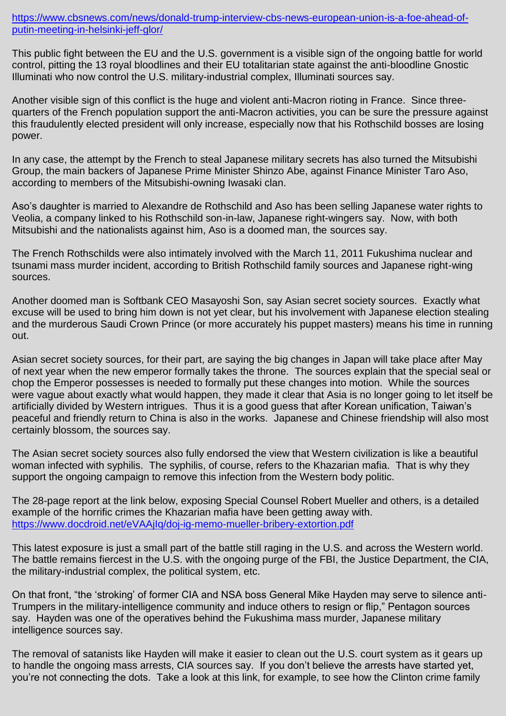[https://www.cbsnews.com/news/donald-trump-interview-cbs-news-european-union-is-a-foe-ahead-of](https://www.cbsnews.com/news/donald-trump-interview-cbs-news-european-union-is-a-foe-ahead-of-putin-meeting-in-helsinki-jeff-glor/)[putin-meeting-in-helsinki-jeff-glor/](https://www.cbsnews.com/news/donald-trump-interview-cbs-news-european-union-is-a-foe-ahead-of-putin-meeting-in-helsinki-jeff-glor/)

This public fight between the EU and the U.S. government is a visible sign of the ongoing battle for world control, pitting the 13 royal bloodlines and their EU totalitarian state against the anti-bloodline Gnostic Illuminati who now control the U.S. military-industrial complex, Illuminati sources say.

Another visible sign of this conflict is the huge and violent anti-Macron rioting in France. Since threequarters of the French population support the anti-Macron activities, you can be sure the pressure against this fraudulently elected president will only increase, especially now that his Rothschild bosses are losing power.

In any case, the attempt by the French to steal Japanese military secrets has also turned the Mitsubishi Group, the main backers of Japanese Prime Minister Shinzo Abe, against Finance Minister Taro Aso, according to members of the Mitsubishi-owning Iwasaki clan.

Aso"s daughter is married to Alexandre de Rothschild and Aso has been selling Japanese water rights to Veolia, a company linked to his Rothschild son-in-law, Japanese right-wingers say. Now, with both Mitsubishi and the nationalists against him, Aso is a doomed man, the sources say.

The French Rothschilds were also intimately involved with the March 11, 2011 Fukushima nuclear and tsunami mass murder incident, according to British Rothschild family sources and Japanese right-wing sources.

Another doomed man is Softbank CEO Masayoshi Son, say Asian secret society sources. Exactly what excuse will be used to bring him down is not yet clear, but his involvement with Japanese election stealing and the murderous Saudi Crown Prince (or more accurately his puppet masters) means his time in running out.

Asian secret society sources, for their part, are saying the big changes in Japan will take place after May of next year when the new emperor formally takes the throne. The sources explain that the special seal or chop the Emperor possesses is needed to formally put these changes into motion. While the sources were vague about exactly what would happen, they made it clear that Asia is no longer going to let itself be artificially divided by Western intrigues. Thus it is a good guess that after Korean unification, Taiwan"s peaceful and friendly return to China is also in the works. Japanese and Chinese friendship will also most certainly blossom, the sources say.

The Asian secret society sources also fully endorsed the view that Western civilization is like a beautiful woman infected with syphilis. The syphilis, of course, refers to the Khazarian mafia. That is why they support the ongoing campaign to remove this infection from the Western body politic.

The 28-page report at the link below, exposing Special Counsel Robert Mueller and others, is a detailed example of the horrific crimes the Khazarian mafia have been getting away with. <https://www.docdroid.net/eVAAjIq/doj-ig-memo-mueller-bribery-extortion.pdf>

This latest exposure is just a small part of the battle still raging in the U.S. and across the Western world. The battle remains fiercest in the U.S. with the ongoing purge of the FBI, the Justice Department, the CIA, the military-industrial complex, the political system, etc.

On that front, "the "stroking" of former CIA and NSA boss General Mike Hayden may serve to silence anti-Trumpers in the military-intelligence community and induce others to resign or flip," Pentagon sources say. Hayden was one of the operatives behind the Fukushima mass murder, Japanese military intelligence sources say.

The removal of satanists like Hayden will make it easier to clean out the U.S. court system as it gears up to handle the ongoing mass arrests, CIA sources say. If you don"t believe the arrests have started yet, you"re not connecting the dots. Take a look at this link, for example, to see how the Clinton crime family